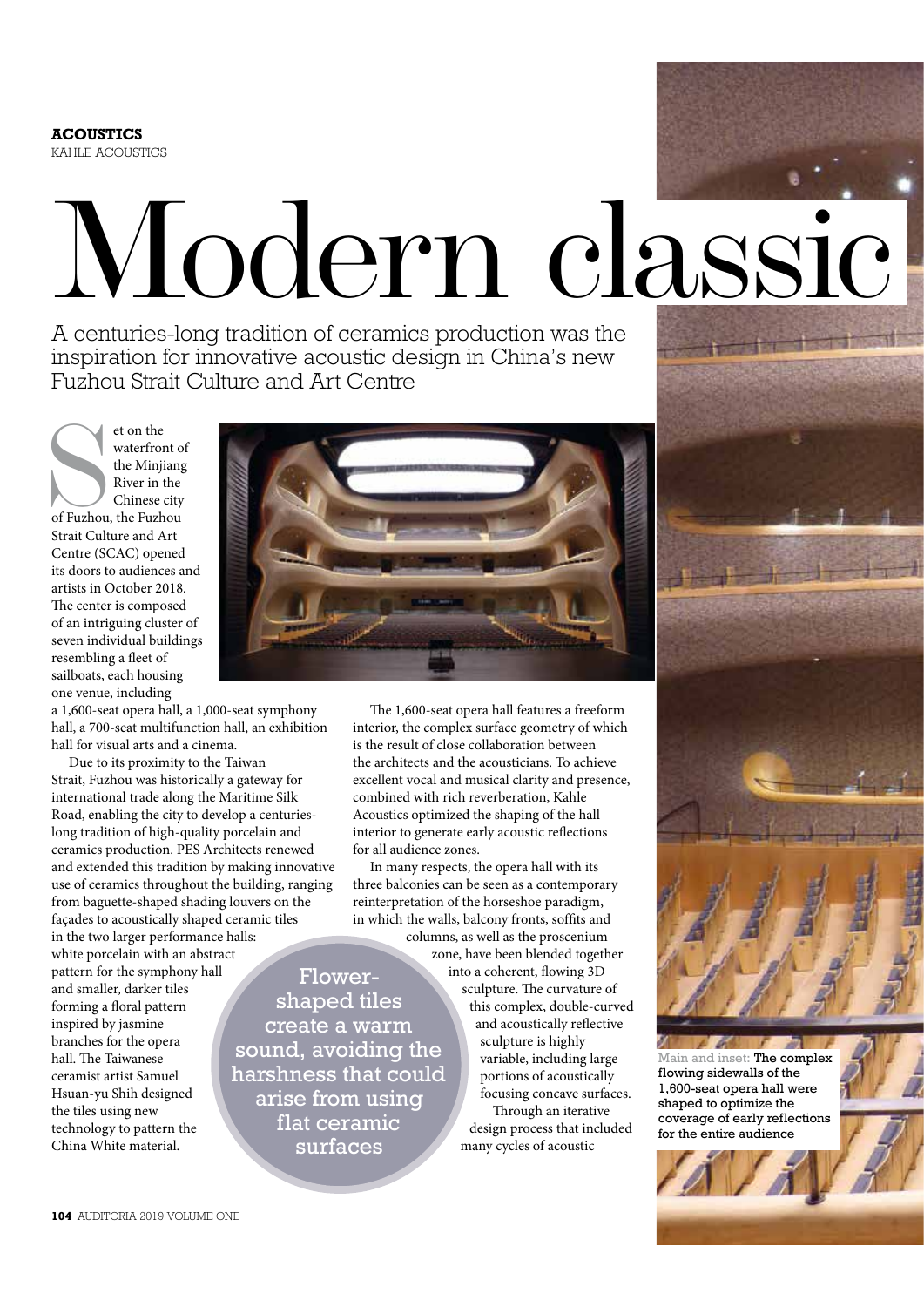KAHLE ACOUSTICS **ACOUSTICS**

## Modern classic

A centuries-long tradition of ceramics production was the inspiration for innovative acoustic design in China's new Fuzhou Strait Culture and Art Centre

et on the<br>
waterfront of<br>
the Minjiang<br>
River in the<br>
Chinese city<br>
of Fuzhou, the Fuzhou waterfront of the Minjiang River in the Chinese city Strait Culture and Art Centre (SCAC) opened its doors to audiences and artists in October 2018. The center is composed of an intriguing cluster of seven individual buildings resembling a fleet of sailboats, each housing one venue, including

a 1,600-seat opera hall, a 1,000-seat symphony hall, a 700-seat multifunction hall, an exhibition hall for visual arts and a cinema.

Due to its proximity to the Taiwan Strait, Fuzhou was historically a gateway for international trade along the Maritime Silk Road, enabling the city to develop a centurieslong tradition of high-quality porcelain and ceramics production. PES Architects renewed and extended this tradition by making innovative use of ceramics throughout the building, ranging from baguette-shaped shading louvers on the façades to acoustically shaped ceramic tiles

in the two larger performance halls: white porcelain with an abstract pattern for the symphony hall and smaller, darker tiles forming a floral pattern inspired by jasmine branches for the opera hall. The Taiwanese ceramist artist Samuel Hsuan-yu Shih designed the tiles using new technology to pattern the China White material.

Flowershaped tiles create a warm sound, avoiding the harshness that could arise from using flat ceramic surfaces

combined with rich reverberation, Kahle Acoustics optimized the shaping of the hall interior to generate early acoustic refections for all audience zones. In many respects, the opera hall with its

three balconies can be seen as a contemporary reinterpretation of the horseshoe paradigm, in which the walls, balcony fronts, soffts and columns, as well as the proscenium

zone, have been blended together into a coherent, fowing 3D sculpture. The curvature of this complex, double-curved and acoustically refective sculpture is highly variable, including large portions of acoustically focusing concave surfaces. Through an iterative design process that included many cycles of acoustic

Main and inset: The complex flowing sidewalls of the 1,600-seat opera hall were shaped to optimize the coverage of early reflections for the entire audience

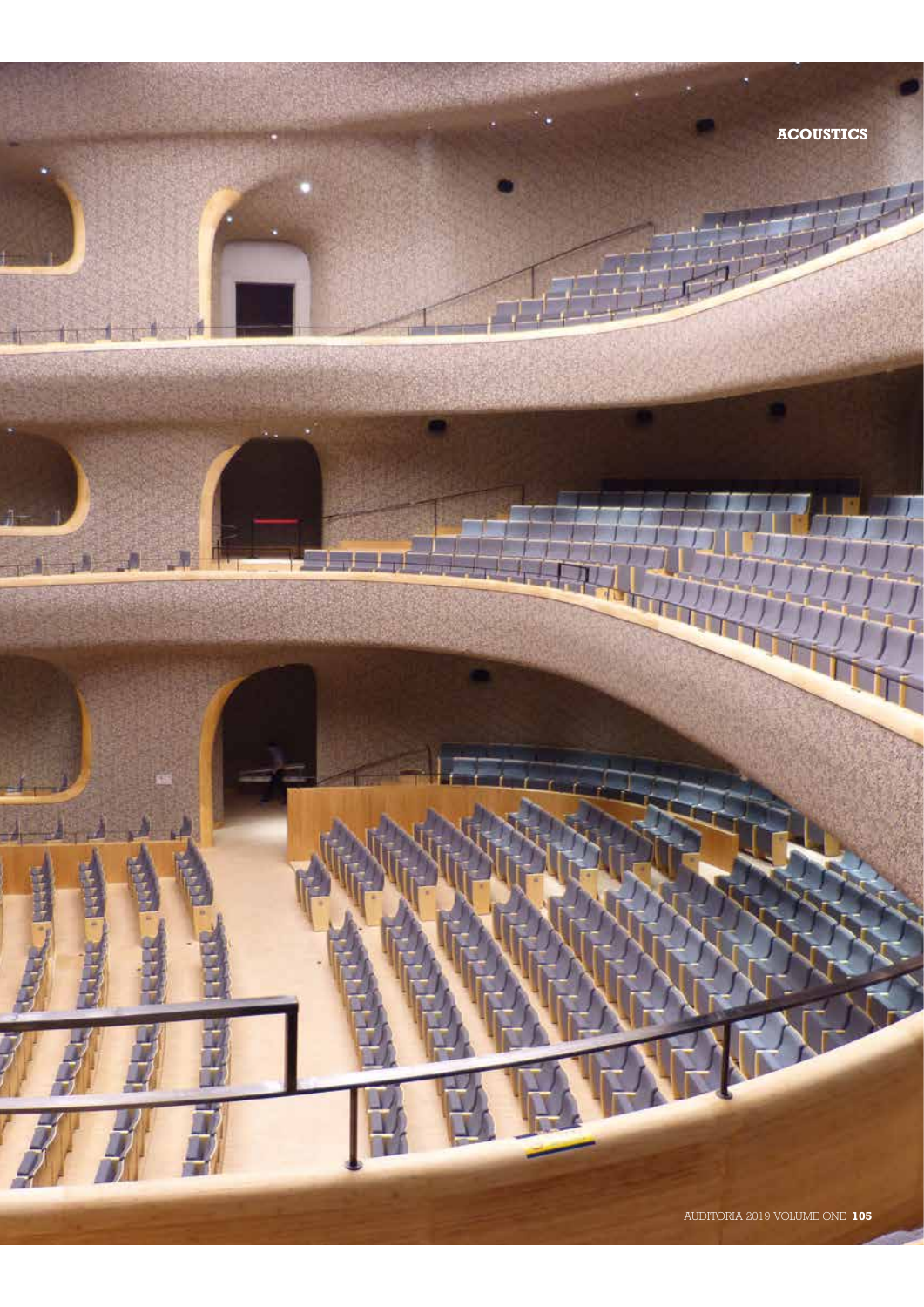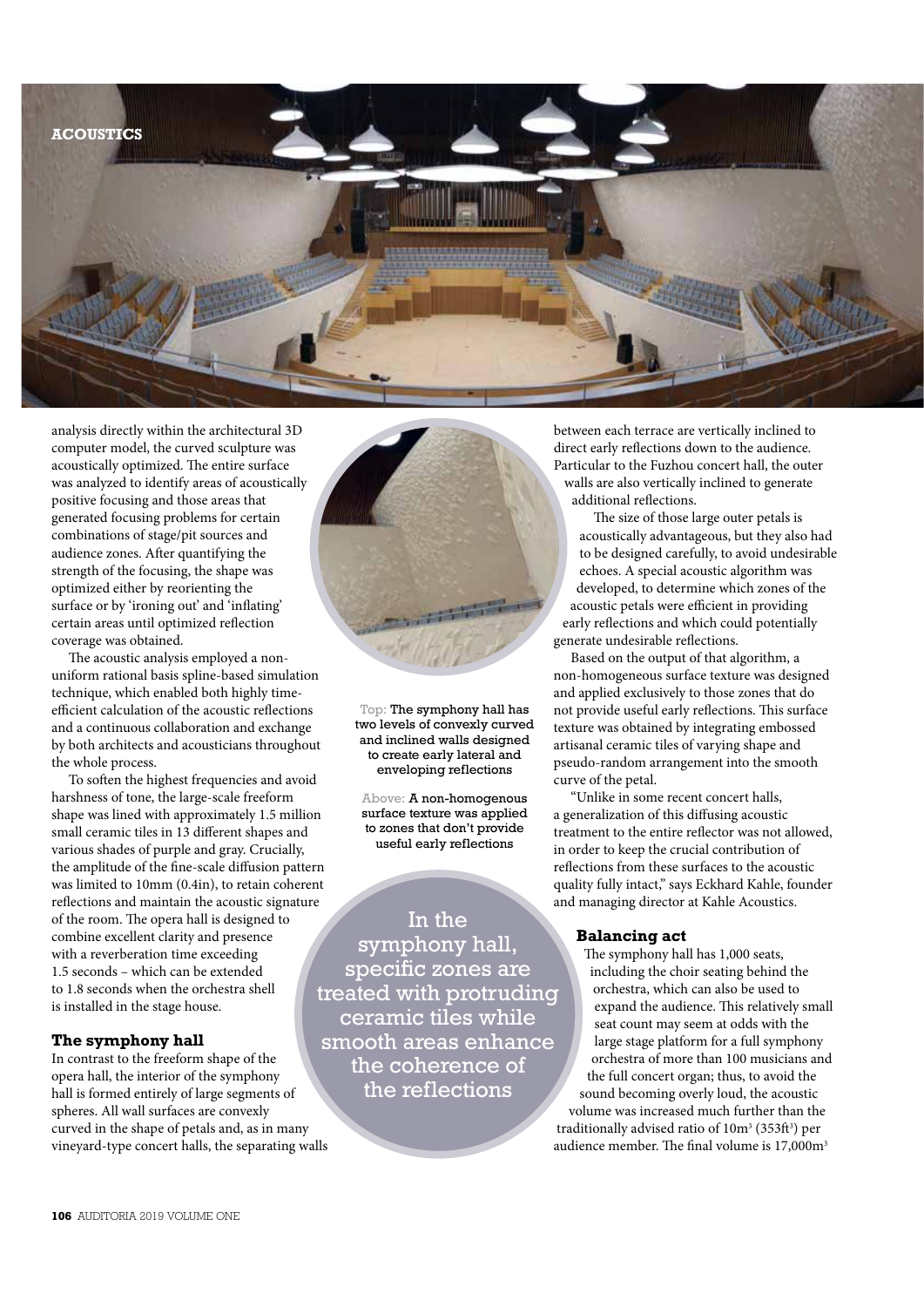

analysis directly within the architectural 3D computer model, the curved sculpture was acoustically optimized. The entire surface was analyzed to identify areas of acoustically positive focusing and those areas that generated focusing problems for certain combinations of stage/pit sources and audience zones. Afer quantifying the strength of the focusing, the shape was optimized either by reorienting the surface or by 'ironing out' and 'infating' certain areas until optimized refection coverage was obtained.

The acoustic analysis employed a nonuniform rational basis spline-based simulation technique, which enabled both highly timeefficient calculation of the acoustic reflections and a continuous collaboration and exchange by both architects and acousticians throughout the whole process.

To sofen the highest frequencies and avoid harshness of tone, the large-scale freeform shape was lined with approximately 1.5 million small ceramic tiles in 13 diferent shapes and various shades of purple and gray. Crucially, the amplitude of the fne-scale difusion pattern was limited to 10mm (0.4in), to retain coherent refections and maintain the acoustic signature of the room. The opera hall is designed to combine excellent clarity and presence with a reverberation time exceeding 1.5 seconds – which can be extended to 1.8 seconds when the orchestra shell is installed in the stage house.

## **The symphony hall**

In contrast to the freeform shape of the opera hall, the interior of the symphony hall is formed entirely of large segments of spheres. All wall surfaces are convexly curved in the shape of petals and, as in many vineyard-type concert halls, the separating walls



enveloping reflections Above: A non-homogenous

surface texture was applied to zones that don't provide useful early reflections

In the symphony hall, specific zones are treated with protruding ceramic tiles while smooth areas enhance the coherence of the reflections

between each terrace are vertically inclined to direct early refections down to the audience. Particular to the Fuzhou concert hall, the outer walls are also vertically inclined to generate additional refections.

The size of those large outer petals is acoustically advantageous, but they also had to be designed carefully, to avoid undesirable echoes. A special acoustic algorithm was developed, to determine which zones of the acoustic petals were efficient in providing early refections and which could potentially generate undesirable refections.

Based on the output of that algorithm, a non-homogeneous surface texture was designed and applied exclusively to those zones that do not provide useful early reflections. This surface texture was obtained by integrating embossed artisanal ceramic tiles of varying shape and pseudo-random arrangement into the smooth curve of the petal.

"Unlike in some recent concert halls, a generalization of this difusing acoustic treatment to the entire refector was not allowed, in order to keep the crucial contribution of refections from these surfaces to the acoustic quality fully intact," says Eckhard Kahle, founder and managing director at Kahle Acoustics.

## **Balancing act**

The symphony hall has 1,000 seats, including the choir seating behind the orchestra, which can also be used to expand the audience. This relatively small seat count may seem at odds with the large stage platform for a full symphony orchestra of more than 100 musicians and the full concert organ; thus, to avoid the sound becoming overly loud, the acoustic volume was increased much further than the traditionally advised ratio of  $10m^3$  (353ft<sup>3</sup>) per audience member. The final volume is 17,000m<sup>3</sup>